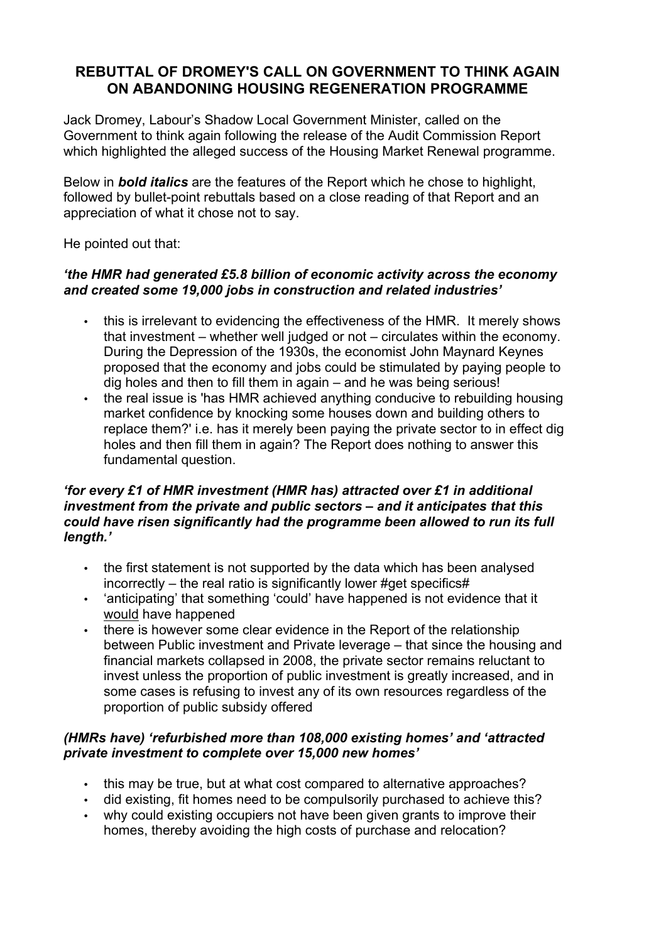# **REBUTTAL OF DROMEY'S CALL ON GOVERNMENT TO THINK AGAIN ON ABANDONING HOUSING REGENERATION PROGRAMME**

Jack Dromey, Labour's Shadow Local Government Minister, called on the Government to think again following the release of the Audit Commission Report which highlighted the alleged success of the Housing Market Renewal programme.

Below in *bold italics* are the features of the Report which he chose to highlight, followed by bullet-point rebuttals based on a close reading of that Report and an appreciation of what it chose not to say.

He pointed out that:

### *'the HMR had generated £5.8 billion of economic activity across the economy and created some 19,000 jobs in construction and related industries'*

- this is irrelevant to evidencing the effectiveness of the HMR. It merely shows that investment – whether well judged or not – circulates within the economy. During the Depression of the 1930s, the economist John Maynard Keynes proposed that the economy and jobs could be stimulated by paying people to dig holes and then to fill them in again – and he was being serious!
- the real issue is 'has HMR achieved anything conducive to rebuilding housing market confidence by knocking some houses down and building others to replace them?' i.e. has it merely been paying the private sector to in effect dig holes and then fill them in again? The Report does nothing to answer this fundamental question.

# *'for every £1 of HMR investment (HMR has) attracted over £1 in additional investment from the private and public sectors – and it anticipates that this could have risen significantly had the programme been allowed to run its full length.'*

- the first statement is not supported by the data which has been analysed incorrectly – the real ratio is significantly lower #get specifics#
- 'anticipating' that something 'could' have happened is not evidence that it would have happened
- there is however some clear evidence in the Report of the relationship between Public investment and Private leverage – that since the housing and financial markets collapsed in 2008, the private sector remains reluctant to invest unless the proportion of public investment is greatly increased, and in some cases is refusing to invest any of its own resources regardless of the proportion of public subsidy offered

# *(HMRs have) 'refurbished more than 108,000 existing homes' and 'attracted private investment to complete over 15,000 new homes'*

- this may be true, but at what cost compared to alternative approaches?
- did existing, fit homes need to be compulsorily purchased to achieve this?
- why could existing occupiers not have been given grants to improve their homes, thereby avoiding the high costs of purchase and relocation?